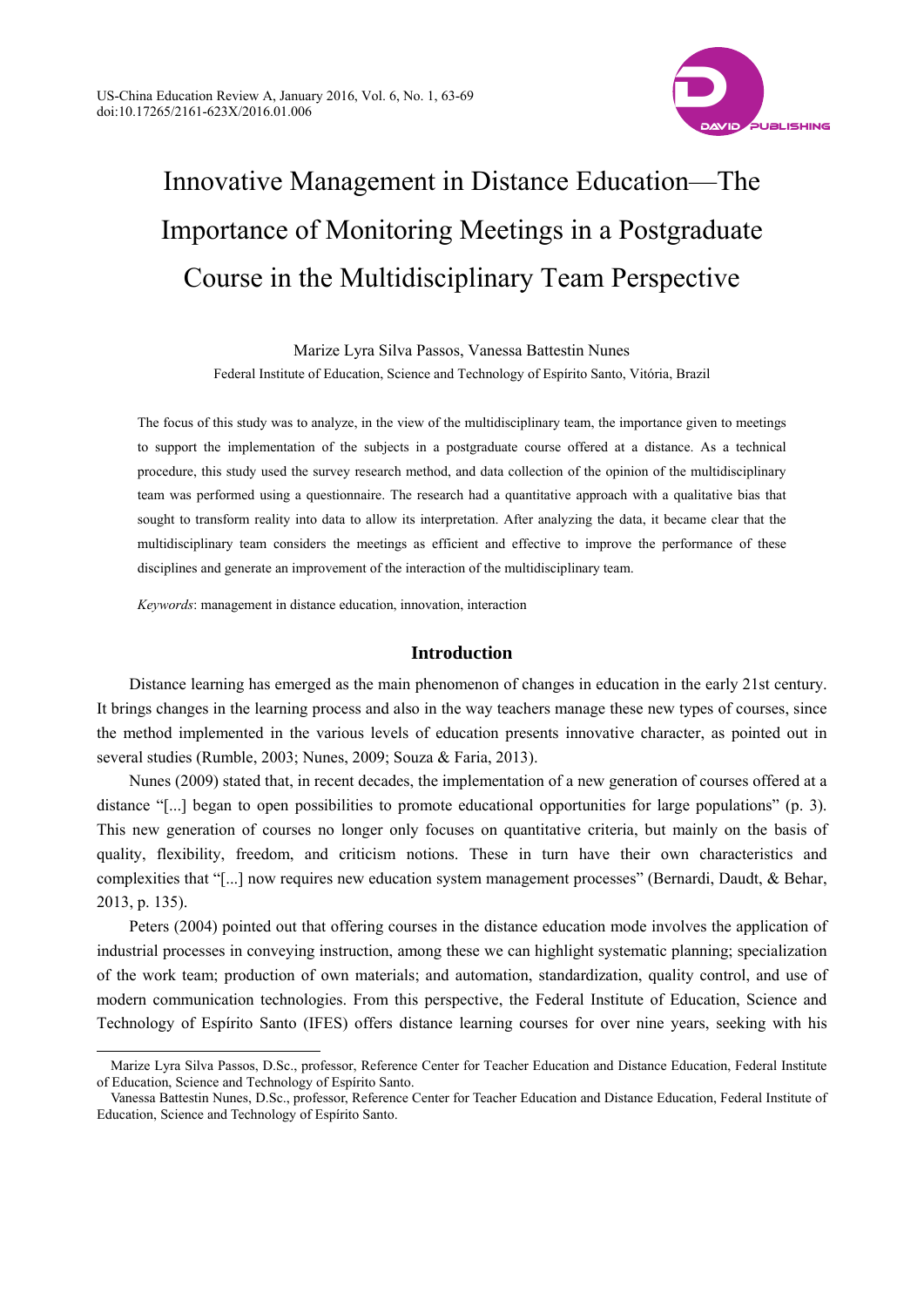

# Innovative Management in Distance Education—The Importance of Monitoring Meetings in a Postgraduate Course in the Multidisciplinary Team Perspective

Marize Lyra Silva Passos, Vanessa Battestin Nunes Federal Institute of Education, Science and Technology of Espírito Santo, Vitória, Brazil

The focus of this study was to analyze, in the view of the multidisciplinary team, the importance given to meetings to support the implementation of the subjects in a postgraduate course offered at a distance. As a technical procedure, this study used the survey research method, and data collection of the opinion of the multidisciplinary team was performed using a questionnaire. The research had a quantitative approach with a qualitative bias that sought to transform reality into data to allow its interpretation. After analyzing the data, it became clear that the multidisciplinary team considers the meetings as efficient and effective to improve the performance of these disciplines and generate an improvement of the interaction of the multidisciplinary team.

*Keywords*: management in distance education, innovation, interaction

l

## **Introduction**

Distance learning has emerged as the main phenomenon of changes in education in the early 21st century. It brings changes in the learning process and also in the way teachers manage these new types of courses, since the method implemented in the various levels of education presents innovative character, as pointed out in several studies (Rumble, 2003; Nunes, 2009; Souza & Faria, 2013).

Nunes (2009) stated that, in recent decades, the implementation of a new generation of courses offered at a distance "[...] began to open possibilities to promote educational opportunities for large populations" (p. 3). This new generation of courses no longer only focuses on quantitative criteria, but mainly on the basis of quality, flexibility, freedom, and criticism notions. These in turn have their own characteristics and complexities that "[...] now requires new education system management processes" (Bernardi, Daudt, & Behar, 2013, p. 135).

Peters (2004) pointed out that offering courses in the distance education mode involves the application of industrial processes in conveying instruction, among these we can highlight systematic planning; specialization of the work team; production of own materials; and automation, standardization, quality control, and use of modern communication technologies. From this perspective, the Federal Institute of Education, Science and Technology of Espírito Santo (IFES) offers distance learning courses for over nine years, seeking with his

Marize Lyra Silva Passos, D.Sc., professor, Reference Center for Teacher Education and Distance Education, Federal Institute of Education, Science and Technology of Espírito Santo.

Vanessa Battestin Nunes, D.Sc., professor, Reference Center for Teacher Education and Distance Education, Federal Institute of Education, Science and Technology of Espírito Santo.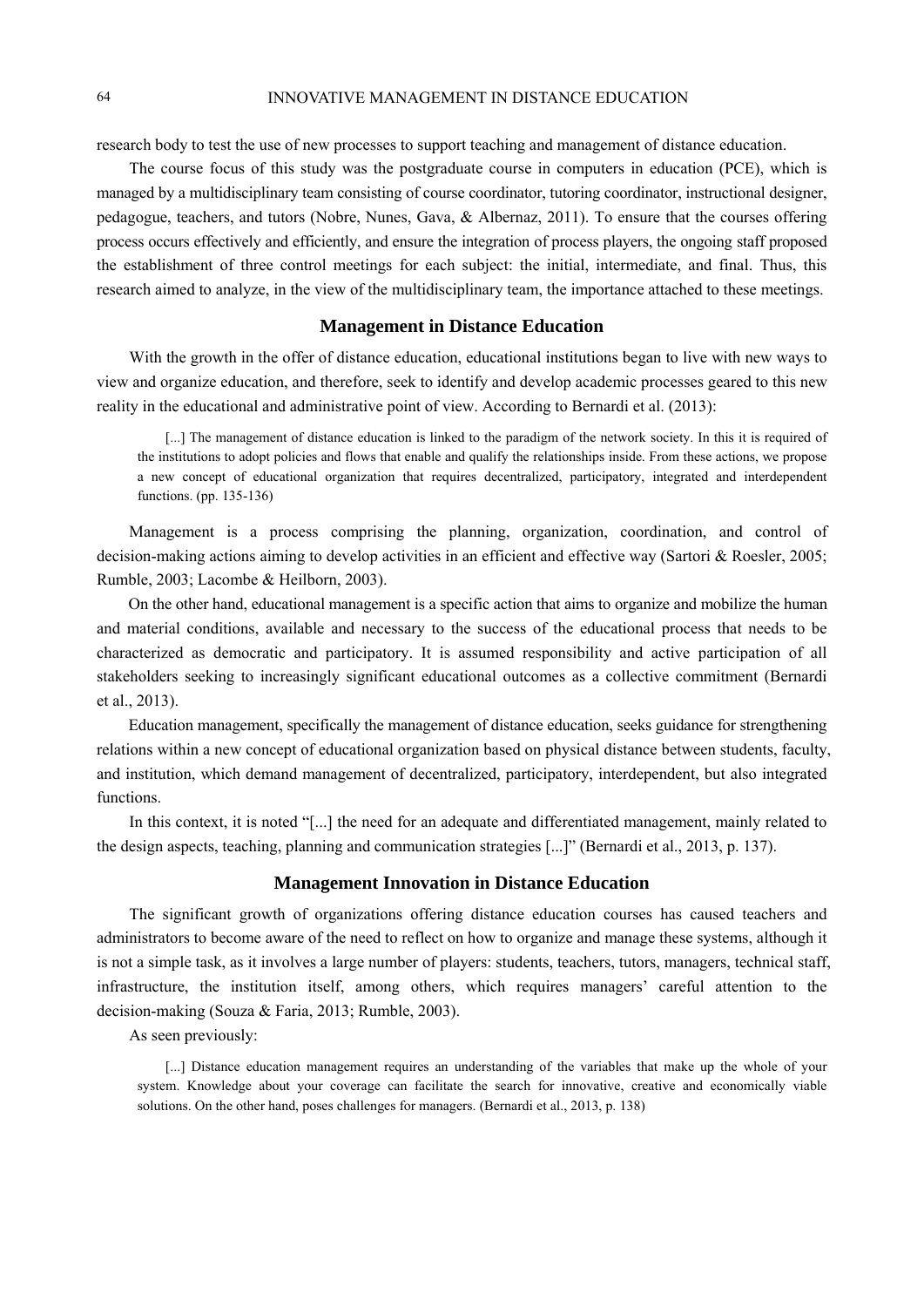research body to test the use of new processes to support teaching and management of distance education.

The course focus of this study was the postgraduate course in computers in education (PCE), which is managed by a multidisciplinary team consisting of course coordinator, tutoring coordinator, instructional designer, pedagogue, teachers, and tutors (Nobre, Nunes, Gava, & Albernaz, 2011). To ensure that the courses offering process occurs effectively and efficiently, and ensure the integration of process players, the ongoing staff proposed the establishment of three control meetings for each subject: the initial, intermediate, and final. Thus, this research aimed to analyze, in the view of the multidisciplinary team, the importance attached to these meetings.

## **Management in Distance Education**

With the growth in the offer of distance education, educational institutions began to live with new ways to view and organize education, and therefore, seek to identify and develop academic processes geared to this new reality in the educational and administrative point of view. According to Bernardi et al. (2013):

[...] The management of distance education is linked to the paradigm of the network society. In this it is required of the institutions to adopt policies and flows that enable and qualify the relationships inside. From these actions, we propose a new concept of educational organization that requires decentralized, participatory, integrated and interdependent functions. (pp. 135-136)

Management is a process comprising the planning, organization, coordination, and control of decision-making actions aiming to develop activities in an efficient and effective way (Sartori & Roesler, 2005; Rumble, 2003; Lacombe & Heilborn, 2003).

On the other hand, educational management is a specific action that aims to organize and mobilize the human and material conditions, available and necessary to the success of the educational process that needs to be characterized as democratic and participatory. It is assumed responsibility and active participation of all stakeholders seeking to increasingly significant educational outcomes as a collective commitment (Bernardi et al., 2013).

Education management, specifically the management of distance education, seeks guidance for strengthening relations within a new concept of educational organization based on physical distance between students, faculty, and institution, which demand management of decentralized, participatory, interdependent, but also integrated functions.

In this context, it is noted "[...] the need for an adequate and differentiated management, mainly related to the design aspects, teaching, planning and communication strategies [...]" (Bernardi et al., 2013, p. 137).

#### **Management Innovation in Distance Education**

The significant growth of organizations offering distance education courses has caused teachers and administrators to become aware of the need to reflect on how to organize and manage these systems, although it is not a simple task, as it involves a large number of players: students, teachers, tutors, managers, technical staff, infrastructure, the institution itself, among others, which requires managers' careful attention to the decision-making (Souza & Faria, 2013; Rumble, 2003).

As seen previously:

[...] Distance education management requires an understanding of the variables that make up the whole of your system. Knowledge about your coverage can facilitate the search for innovative, creative and economically viable solutions. On the other hand, poses challenges for managers. (Bernardi et al., 2013, p. 138)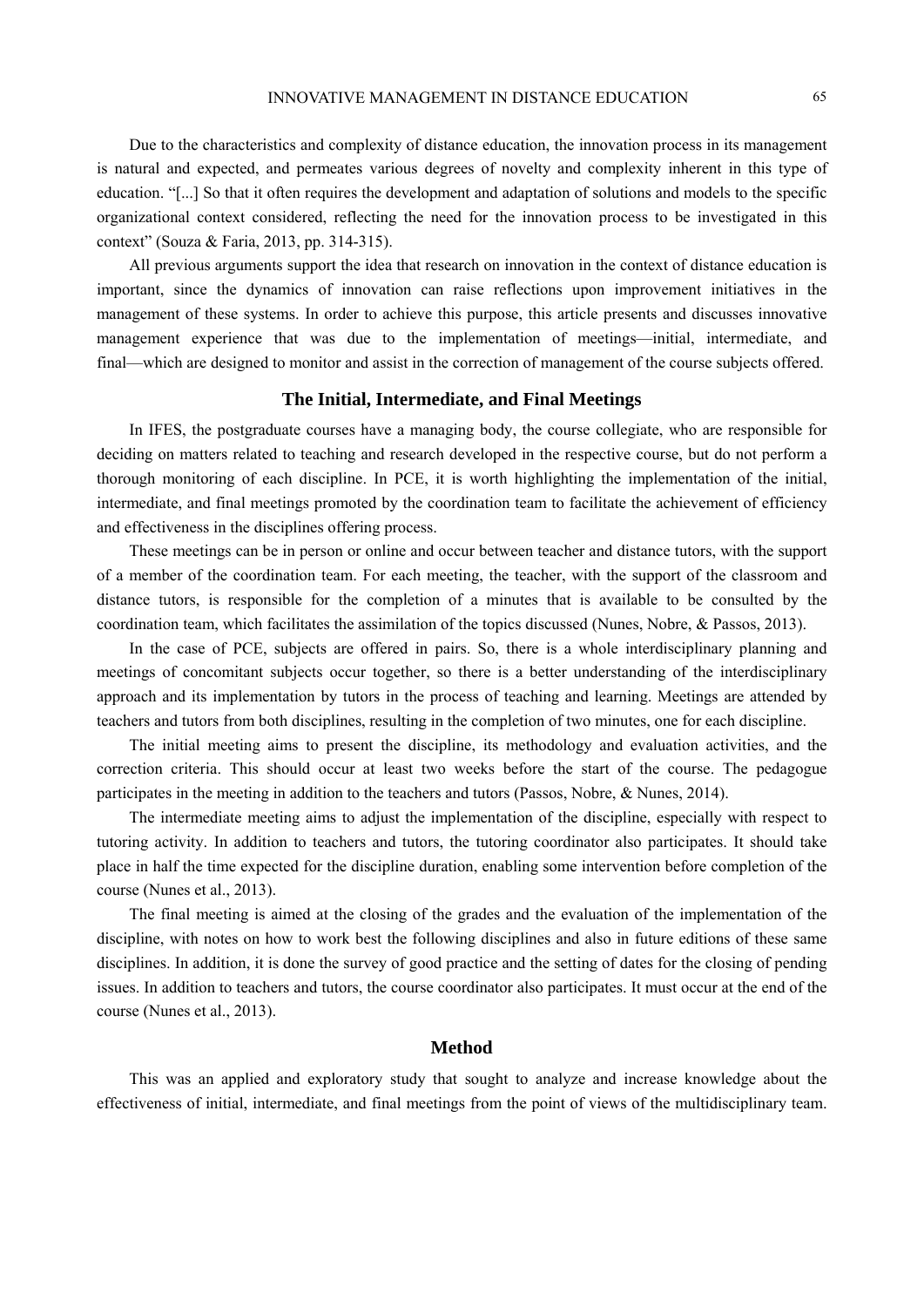Due to the characteristics and complexity of distance education, the innovation process in its management is natural and expected, and permeates various degrees of novelty and complexity inherent in this type of education. "[...] So that it often requires the development and adaptation of solutions and models to the specific organizational context considered, reflecting the need for the innovation process to be investigated in this context" (Souza & Faria, 2013, pp. 314-315).

All previous arguments support the idea that research on innovation in the context of distance education is important, since the dynamics of innovation can raise reflections upon improvement initiatives in the management of these systems. In order to achieve this purpose, this article presents and discusses innovative management experience that was due to the implementation of meetings—initial, intermediate, and final—which are designed to monitor and assist in the correction of management of the course subjects offered.

#### **The Initial, Intermediate, and Final Meetings**

In IFES, the postgraduate courses have a managing body, the course collegiate, who are responsible for deciding on matters related to teaching and research developed in the respective course, but do not perform a thorough monitoring of each discipline. In PCE, it is worth highlighting the implementation of the initial, intermediate, and final meetings promoted by the coordination team to facilitate the achievement of efficiency and effectiveness in the disciplines offering process.

These meetings can be in person or online and occur between teacher and distance tutors, with the support of a member of the coordination team. For each meeting, the teacher, with the support of the classroom and distance tutors, is responsible for the completion of a minutes that is available to be consulted by the coordination team, which facilitates the assimilation of the topics discussed (Nunes, Nobre, & Passos, 2013).

In the case of PCE, subjects are offered in pairs. So, there is a whole interdisciplinary planning and meetings of concomitant subjects occur together, so there is a better understanding of the interdisciplinary approach and its implementation by tutors in the process of teaching and learning. Meetings are attended by teachers and tutors from both disciplines, resulting in the completion of two minutes, one for each discipline.

The initial meeting aims to present the discipline, its methodology and evaluation activities, and the correction criteria. This should occur at least two weeks before the start of the course. The pedagogue participates in the meeting in addition to the teachers and tutors (Passos, Nobre, & Nunes, 2014).

The intermediate meeting aims to adjust the implementation of the discipline, especially with respect to tutoring activity. In addition to teachers and tutors, the tutoring coordinator also participates. It should take place in half the time expected for the discipline duration, enabling some intervention before completion of the course (Nunes et al., 2013).

The final meeting is aimed at the closing of the grades and the evaluation of the implementation of the discipline, with notes on how to work best the following disciplines and also in future editions of these same disciplines. In addition, it is done the survey of good practice and the setting of dates for the closing of pending issues. In addition to teachers and tutors, the course coordinator also participates. It must occur at the end of the course (Nunes et al., 2013).

## **Method**

This was an applied and exploratory study that sought to analyze and increase knowledge about the effectiveness of initial, intermediate, and final meetings from the point of views of the multidisciplinary team.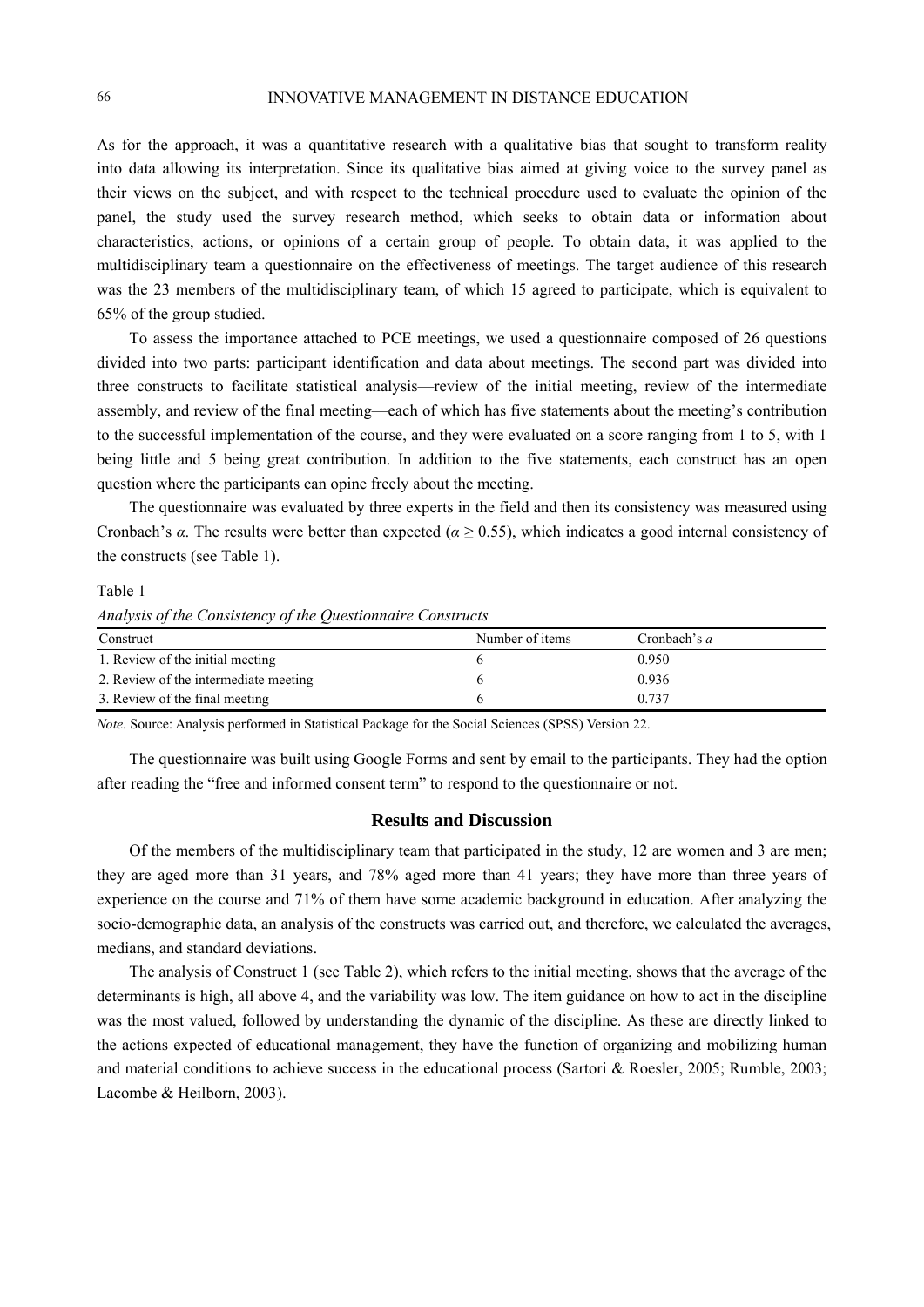As for the approach, it was a quantitative research with a qualitative bias that sought to transform reality into data allowing its interpretation. Since its qualitative bias aimed at giving voice to the survey panel as their views on the subject, and with respect to the technical procedure used to evaluate the opinion of the panel, the study used the survey research method, which seeks to obtain data or information about characteristics, actions, or opinions of a certain group of people. To obtain data, it was applied to the multidisciplinary team a questionnaire on the effectiveness of meetings. The target audience of this research was the 23 members of the multidisciplinary team, of which 15 agreed to participate, which is equivalent to 65% of the group studied.

To assess the importance attached to PCE meetings, we used a questionnaire composed of 26 questions divided into two parts: participant identification and data about meetings. The second part was divided into three constructs to facilitate statistical analysis—review of the initial meeting, review of the intermediate assembly, and review of the final meeting—each of which has five statements about the meeting's contribution to the successful implementation of the course, and they were evaluated on a score ranging from 1 to 5, with 1 being little and 5 being great contribution. In addition to the five statements, each construct has an open question where the participants can opine freely about the meeting.

The questionnaire was evaluated by three experts in the field and then its consistency was measured using Cronbach's *α*. The results were better than expected (*α* ≥ 0.55), which indicates a good internal consistency of the constructs (see Table 1).

Table 1

*Analysis of the Consistency of the Questionnaire Constructs* 

| Construct                             | Number of items | Cronbach's $a$ |
|---------------------------------------|-----------------|----------------|
| 1. Review of the initial meeting      |                 | 0.950          |
| 2. Review of the intermediate meeting |                 | 0.936          |
| 3. Review of the final meeting        |                 | 0.737          |

*Note.* Source: Analysis performed in Statistical Package for the Social Sciences (SPSS) Version 22.

The questionnaire was built using Google Forms and sent by email to the participants. They had the option after reading the "free and informed consent term" to respond to the questionnaire or not.

## **Results and Discussion**

Of the members of the multidisciplinary team that participated in the study, 12 are women and 3 are men; they are aged more than 31 years, and 78% aged more than 41 years; they have more than three years of experience on the course and 71% of them have some academic background in education. After analyzing the socio-demographic data, an analysis of the constructs was carried out, and therefore, we calculated the averages, medians, and standard deviations.

The analysis of Construct 1 (see Table 2), which refers to the initial meeting, shows that the average of the determinants is high, all above 4, and the variability was low. The item guidance on how to act in the discipline was the most valued, followed by understanding the dynamic of the discipline. As these are directly linked to the actions expected of educational management, they have the function of organizing and mobilizing human and material conditions to achieve success in the educational process (Sartori & Roesler, 2005; Rumble, 2003; Lacombe & Heilborn, 2003).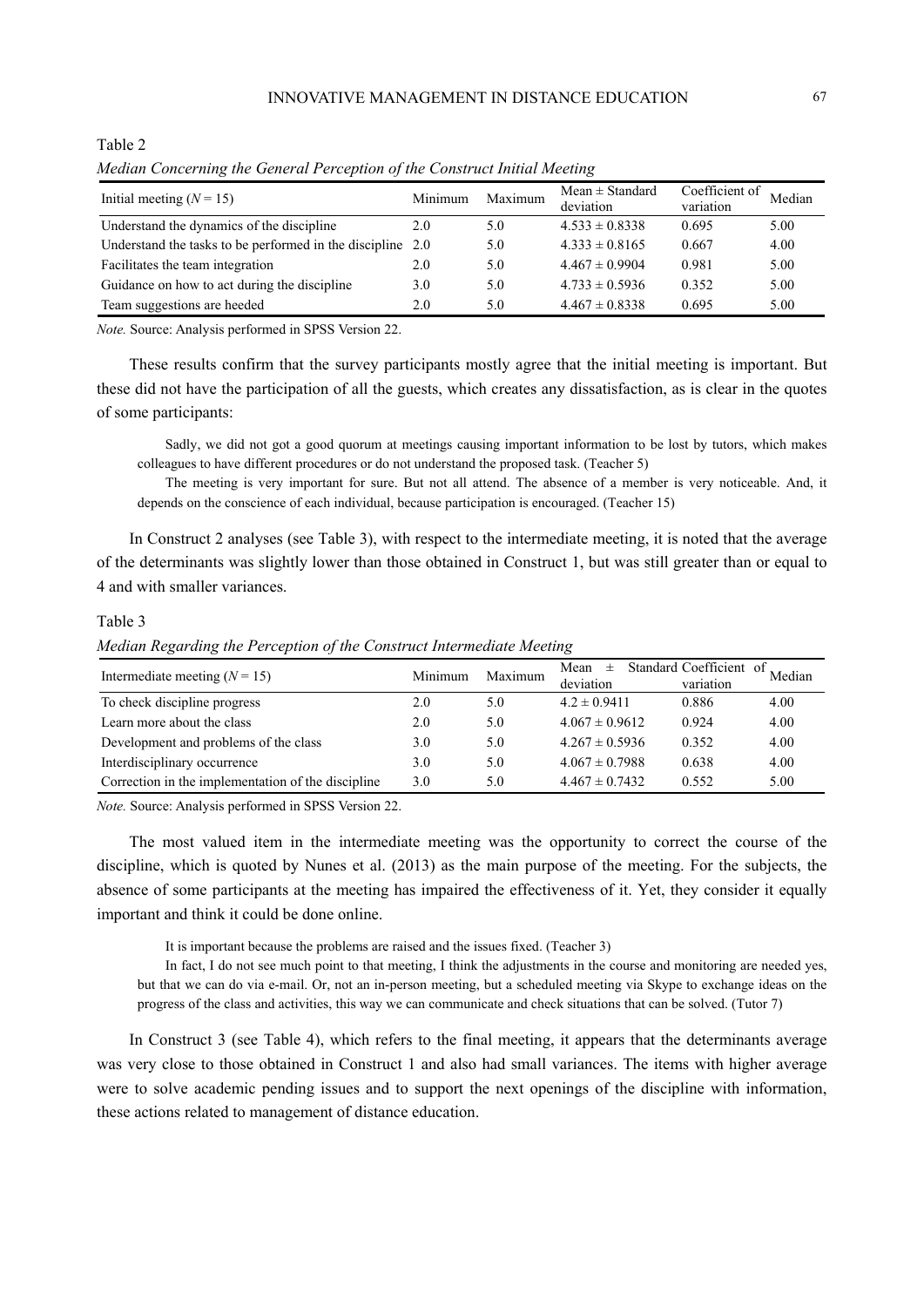| meanan Concerning the General I creeption of the Construct Intitut meeting |         |         |                                  |                             |        |
|----------------------------------------------------------------------------|---------|---------|----------------------------------|-----------------------------|--------|
| Initial meeting $(N = 15)$                                                 | Minimum | Maximum | $Mean \pm Standard$<br>deviation | Coefficient of<br>variation | Median |
| Understand the dynamics of the discipline                                  | 2.0     | 5.0     | $4.533 \pm 0.8338$               | 0.695                       | 5.00   |
| Understand the tasks to be performed in the discipline 2.0                 |         | 5.0     | $4.333 \pm 0.8165$               | 0.667                       | 4.00   |
| Facilitates the team integration                                           | 2.0     | 5.0     | $4.467 \pm 0.9904$               | 0.981                       | 5.00   |
| Guidance on how to act during the discipline                               | 3.0     | 5.0     | $4.733 \pm 0.5936$               | 0.352                       | 5.00   |
| Team suggestions are heeded                                                | 2.0     | 5.0     | $4.467 \pm 0.8338$               | 0.695                       | 5.00   |

*Median Concerning the General Perception of the Construct Initial Meeting* 

*Note.* Source: Analysis performed in SPSS Version 22.

These results confirm that the survey participants mostly agree that the initial meeting is important. But these did not have the participation of all the guests, which creates any dissatisfaction, as is clear in the quotes of some participants:

Sadly, we did not got a good quorum at meetings causing important information to be lost by tutors, which makes colleagues to have different procedures or do not understand the proposed task. (Teacher 5)

The meeting is very important for sure. But not all attend. The absence of a member is very noticeable. And, it depends on the conscience of each individual, because participation is encouraged. (Teacher 15)

In Construct 2 analyses (see Table 3), with respect to the intermediate meeting, it is noted that the average of the determinants was slightly lower than those obtained in Construct 1, but was still greater than or equal to 4 and with smaller variances.

Table 3

Table 2

*Median Regarding the Perception of the Construct Intermediate Meeting* 

| Intermediate meeting $(N = 15)$                    | Minimum | Maximum | Standard Coefficient of<br>Mean<br>$\pm$ |           | Median |
|----------------------------------------------------|---------|---------|------------------------------------------|-----------|--------|
|                                                    |         |         | deviation                                | variation |        |
| To check discipline progress                       | 2.0     | 5.0     | $4.2 \pm 0.9411$                         | 0.886     | 4.00   |
| Learn more about the class                         | 2.0     | 5.0     | $4.067 \pm 0.9612$                       | 0.924     | 4.00   |
| Development and problems of the class              | 3.0     | 5.0     | $4.267 \pm 0.5936$                       | 0.352     | 4.00   |
| Interdisciplinary occurrence                       | 3.0     | 5.0     | $4.067 \pm 0.7988$                       | 0.638     | 4.00   |
| Correction in the implementation of the discipline | 3.0     | 5.0     | $4.467 \pm 0.7432$                       | 0.552     | 5.00   |

*Note.* Source: Analysis performed in SPSS Version 22.

The most valued item in the intermediate meeting was the opportunity to correct the course of the discipline, which is quoted by Nunes et al. (2013) as the main purpose of the meeting. For the subjects, the absence of some participants at the meeting has impaired the effectiveness of it. Yet, they consider it equally important and think it could be done online.

It is important because the problems are raised and the issues fixed. (Teacher 3)

In fact, I do not see much point to that meeting, I think the adjustments in the course and monitoring are needed yes, but that we can do via e-mail. Or, not an in-person meeting, but a scheduled meeting via Skype to exchange ideas on the progress of the class and activities, this way we can communicate and check situations that can be solved. (Tutor 7)

In Construct 3 (see Table 4), which refers to the final meeting, it appears that the determinants average was very close to those obtained in Construct 1 and also had small variances. The items with higher average were to solve academic pending issues and to support the next openings of the discipline with information, these actions related to management of distance education.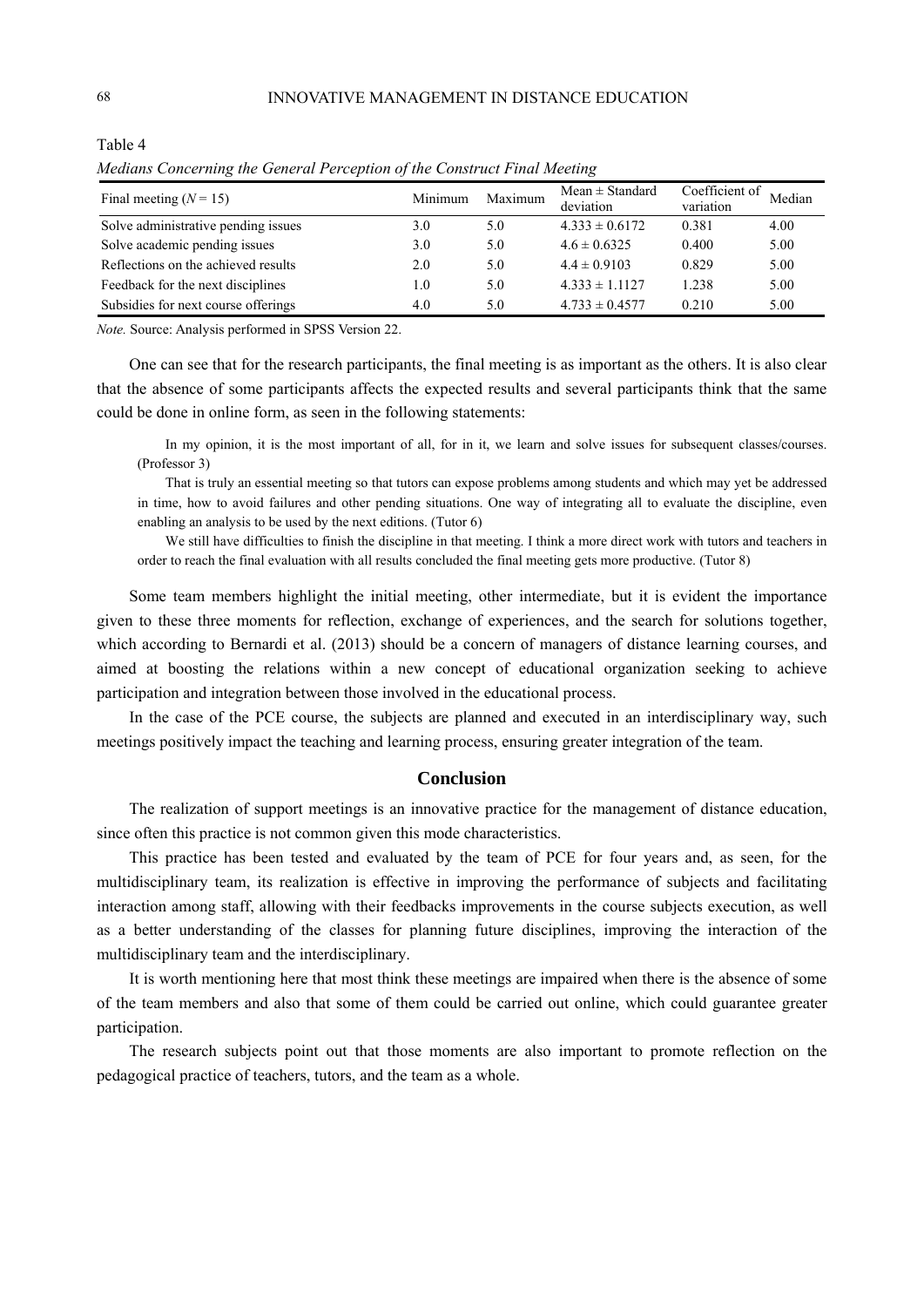| Final meeting $(N = 15)$            | Minimum | Maximum | $Mean \pm Standard$<br>deviation | Coefficient of<br>variation | Median |
|-------------------------------------|---------|---------|----------------------------------|-----------------------------|--------|
| Solve administrative pending issues | 3.0     | 5.0     | $4.333 \pm 0.6172$               | 0.381                       | 4.00   |
| Solve academic pending issues       | 3.0     | 5.0     | $4.6 \pm 0.6325$                 | 0.400                       | 5.00   |
| Reflections on the achieved results | 2.0     | 5.0     | $4.4 \pm 0.9103$                 | 0.829                       | 5.00   |
| Feedback for the next disciplines   | 1.0     | 5.0     | $4.333 \pm 1.1127$               | 1.238                       | 5.00   |
| Subsidies for next course offerings | 4.0     | 5.0     | $4.733 \pm 0.4577$               | 0.210                       | 5.00   |

*Medians Concerning the General Perception of the Construct Final Meeting* 

*Note.* Source: Analysis performed in SPSS Version 22.

One can see that for the research participants, the final meeting is as important as the others. It is also clear that the absence of some participants affects the expected results and several participants think that the same could be done in online form, as seen in the following statements:

In my opinion, it is the most important of all, for in it, we learn and solve issues for subsequent classes/courses. (Professor 3)

That is truly an essential meeting so that tutors can expose problems among students and which may yet be addressed in time, how to avoid failures and other pending situations. One way of integrating all to evaluate the discipline, even enabling an analysis to be used by the next editions. (Tutor 6)

We still have difficulties to finish the discipline in that meeting. I think a more direct work with tutors and teachers in order to reach the final evaluation with all results concluded the final meeting gets more productive. (Tutor 8)

Some team members highlight the initial meeting, other intermediate, but it is evident the importance given to these three moments for reflection, exchange of experiences, and the search for solutions together, which according to Bernardi et al. (2013) should be a concern of managers of distance learning courses, and aimed at boosting the relations within a new concept of educational organization seeking to achieve participation and integration between those involved in the educational process.

In the case of the PCE course, the subjects are planned and executed in an interdisciplinary way, such meetings positively impact the teaching and learning process, ensuring greater integration of the team.

## **Conclusion**

The realization of support meetings is an innovative practice for the management of distance education, since often this practice is not common given this mode characteristics.

This practice has been tested and evaluated by the team of PCE for four years and, as seen, for the multidisciplinary team, its realization is effective in improving the performance of subjects and facilitating interaction among staff, allowing with their feedbacks improvements in the course subjects execution, as well as a better understanding of the classes for planning future disciplines, improving the interaction of the multidisciplinary team and the interdisciplinary.

It is worth mentioning here that most think these meetings are impaired when there is the absence of some of the team members and also that some of them could be carried out online, which could guarantee greater participation.

The research subjects point out that those moments are also important to promote reflection on the pedagogical practice of teachers, tutors, and the team as a whole.

Table 4